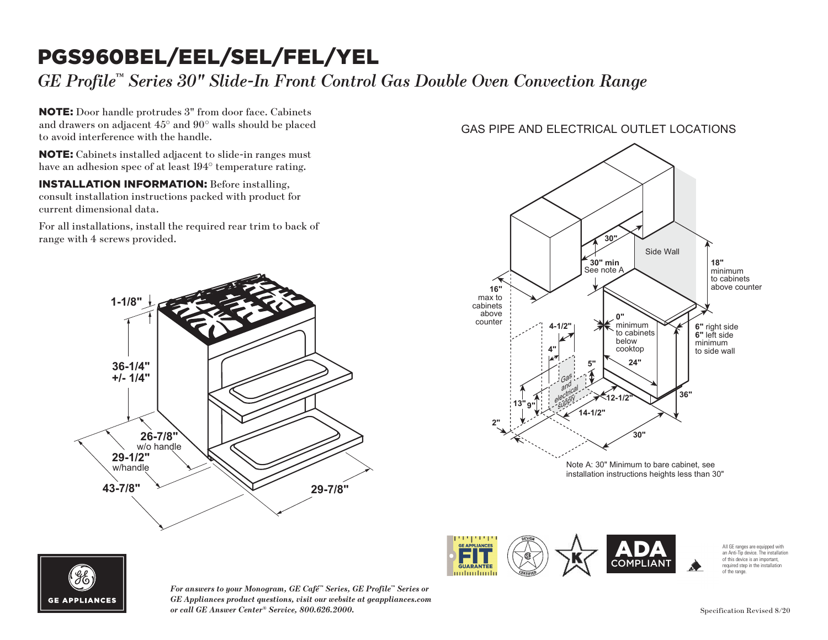### PGS960BEL/EEL/SEL/FEL/YEL GAS PIPE AND ELECTRICAL OUTLET LOCATIONS

*GE Profile™ Series 30" Slide-In Front Control Gas Double Oven Convection Range*

NOTE: Door handle protrudes 3" from door face. Cabinets and drawers on adjacent 45° and 90° walls should be placed to avoid interference with the handle.

NOTE: Cabinets installed adjacent to slide-in ranges must have an adhesion spec of at least 194° temperature rating.

INSTALLATION INFORMATION: Before installing, consult installation instructions packed with product for current dimensional data.

For all installations, install the required rear trim to back of range with 4 screws provided.



### GAS PIPE AND ELECTRICAL OUTLET LOCATIONS



COMPLIANT

milimilimili



*For answers to your Monogram, GE Café™ Series, GE Profile™ Series or GE Appliances product questions, visit our website at geappliances.com or call GE Answer Center® Service, 800.626.2000.* Specification Revised 8/20

required step in the installation of the range.